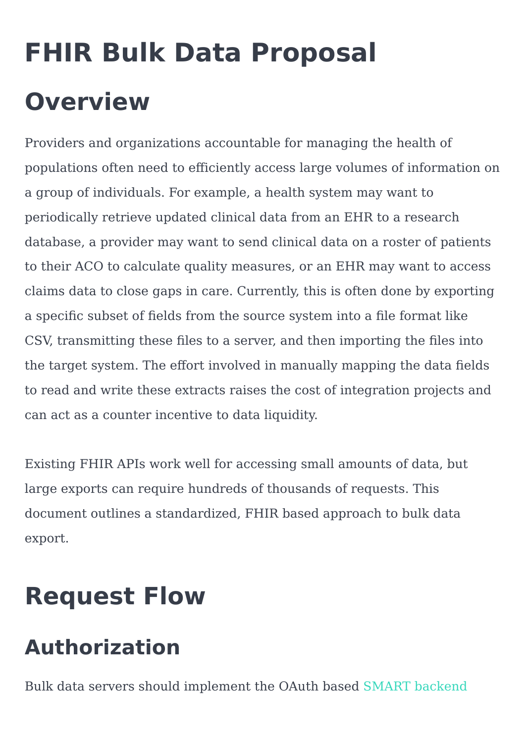# **FHIR Bulk Data Proposal Overview**

Providers and organizations accountable for managing the health of populations often need to efficiently access large volumes of information on a group of individuals. For example, a health system may want to periodically retrieve updated clinical data from an EHR to a research database, a provider may want to send clinical data on a roster of patients to their ACO to calculate quality measures, or an EHR may want to access claims data to close gaps in care. Currently, this is often done by exporting a specific subset of fields from the source system into a file format like CSV, transmitting these files to a server, and then importing the files into the target system. The effort involved in manually mapping the data fields to read and write these extracts raises the cost of integration projects and can act as a counter incentive to data liquidity.

Existing FHIR APIs work well for accessing small amounts of data, but large exports can require hundreds of thousands of requests. This document outlines a standardized, FHIR based approach to bulk data export.

## **Request Flow**

#### **Authorization**

Bulk data servers should [implement](http://docs.smarthealthit.org/authorization/backend-services/) the OAuth based SMART backend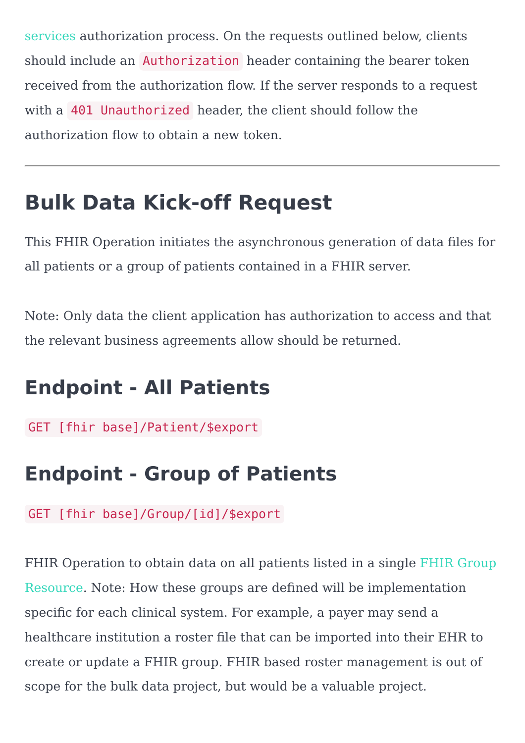services [authorization](http://docs.smarthealthit.org/authorization/backend-services/) process. On the requests outlined below, clients should include an Authorization header containing the bearer token received from the authorization flow. If the server responds to a request with a 401 Unauthorized header, the client should follow the authorization flow to obtain a new token.

#### **Bulk Data Kick-off Request**

This FHIR Operation initiates the asynchronous generation of data files for all patients or a group of patients contained in a FHIR server.

Note: Only data the client application has authorization to access and that the relevant business agreements allow should be returned.

#### **Endpoint - All Patients**

GET [fhir base]/Patient/\$export

#### **Endpoint - Group of Patients**

GET [fhir base]/Group/[id]/\$export

FHIR Operation to obtain data on all patients listed in a single FHIR Group Resource. Note: How these groups are defined will be [implementation](https://www.hl7.org/fhir/group.html) specific for each clinical system. For example, a payer may send a healthcare institution a roster file that can be imported into their EHR to create or update a FHIR group. FHIR based roster management is out of scope for the bulk data project, but would be a valuable project.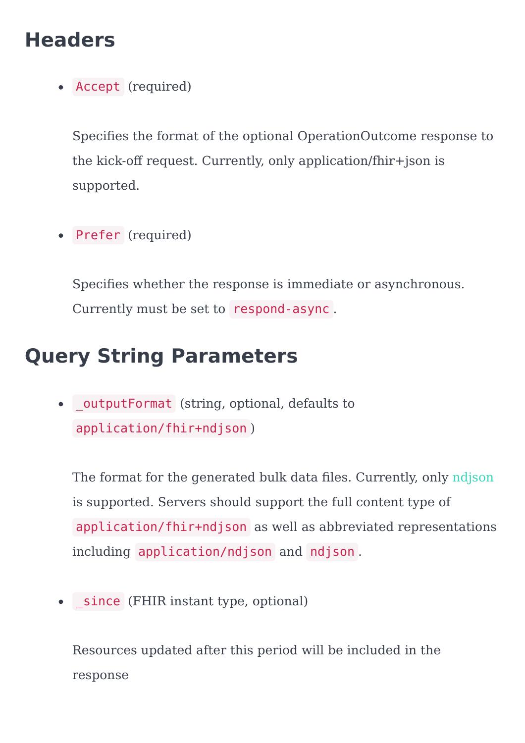#### **Headers**

Accept (required)

Specifies the format of the optional OperationOutcome response to the kick-off request. Currently, only application/fhir+json is supported.

Prefer (required)

Specifies whether the response is immediate or asynchronous. Currently must be set to respond-async .

#### **Query String Parameters**

\_outputFormat (string, optional, defaults to application/fhir+ndjson )

The format for the generated bulk data files. Currently, only [ndjson](http://ndjson.org/) is supported. Servers should support the full content type of application/fhir+ndjson as well as abbreviated representations including application/ndjson and ndjson .

since (FHIR instant type, optional)

Resources updated after this period will be included in the response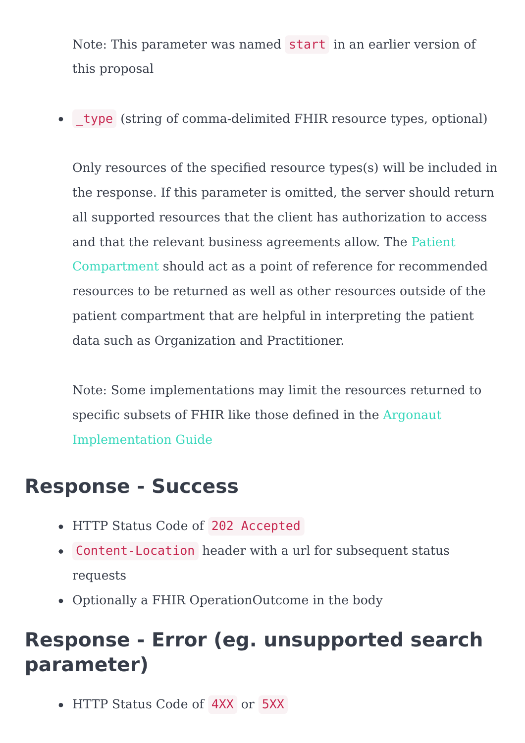Note: This parameter was named start in an earlier version of this proposal

\_type (string of comma-delimited FHIR resource types, optional)

Only resources of the specified resource types(s) will be included in the response. If this parameter is omitted, the server should return all supported resources that the client has authorization to access and that the relevant business agreements allow. The Patient [Compartment](https://www.hl7.org/fhir/compartmentdefinition-patient.html) should act as a point of reference for recommended resources to be returned as well as other resources outside of the patient compartment that are helpful in interpreting the patient data such as Organization and Practitioner.

Note: Some implementations may limit the resources returned to specific subsets of FHIR like those defined in the Argonaut [Implementation](http://www.fhir.org/guides/argonaut/r2/) Guide

#### **Response - Success**

- HTTP Status Code of 202 Accepted
- Content-Location header with a url for subsequent status requests
- Optionally a FHIR OperationOutcome in the body

#### **Response - Error (eg. unsupported search parameter)**

• HTTP Status Code of  $4XX$  or  $5XX$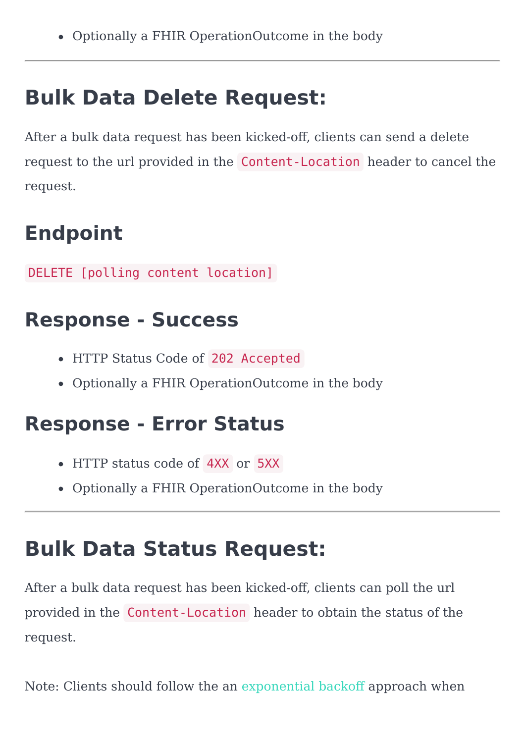## **Bulk Data Delete Request:**

After a bulk data request has been kicked-off, clients can send a delete request to the url provided in the Content-Location header to cancel the request.

## **Endpoint**

DELETE [polling content location]

#### **Response - Success**

- HTTP Status Code of 202 Accepted
- Optionally a FHIR OperationOutcome in the body

#### **Response - Error Status**

- HTTP status code of 4XX or 5XX
- Optionally a FHIR OperationOutcome in the body

#### **Bulk Data Status Request:**

After a bulk data request has been kicked-off, clients can poll the url provided in the Content-Location header to obtain the status of the request.

Note: Clients should follow the an [exponential](https://en.wikipedia.org/wiki/Exponential_backoff) backoff approach when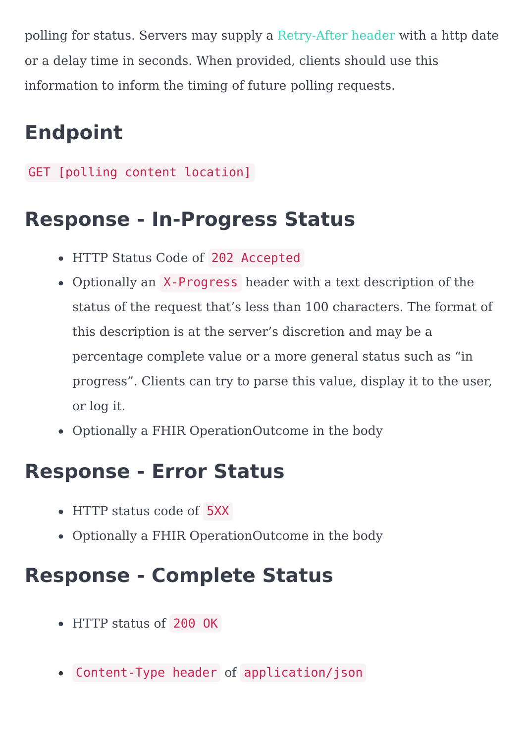polling for status. Servers may supply a [Retry-After](https://developer.mozilla.org/en-US/docs/Web/HTTP/Headers/Retry-After) header with a http date or a delay time in seconds. When provided, clients should use this information to inform the timing of future polling requests.

## **Endpoint**

GET [polling content location]

#### **Response - In-Progress Status**

- HTTP Status Code of 202 Accepted
- Optionally an X-Progress header with a text description of the status of the request that's less than 100 characters. The format of this description is at the server's discretion and may be a percentage complete value or a more general status such as "in progress". Clients can try to parse this value, display it to the user, or log it.
- Optionally a FHIR OperationOutcome in the body

#### **Response - Error Status**

- HTTP status code of 5XX
- Optionally a FHIR OperationOutcome in the body

#### **Response - Complete Status**

- HTTP status of 200 OK
- Content-Type header of application/json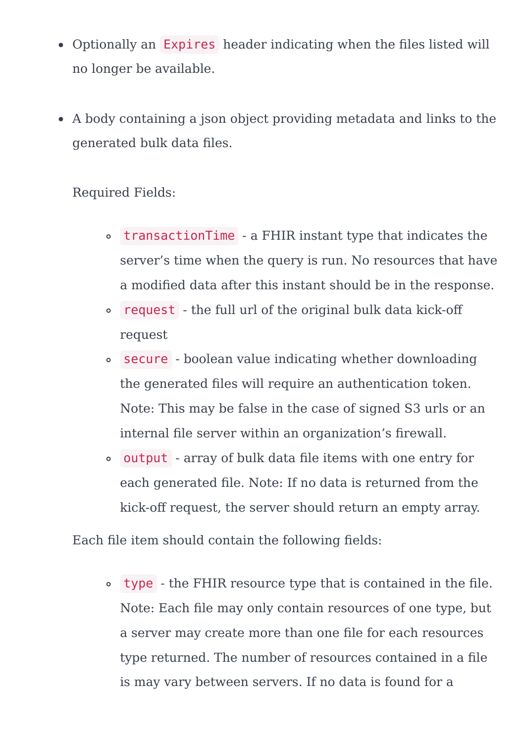- Optionally an Expires header indicating when the files listed will no longer be available.
- A body containing a json object providing metadata and links to the generated bulk data files.

Required Fields:

- transactionTime a FHIR instant type that indicates the server's time when the query is run. No resources that have a modified data after this instant should be in the response.
- request the full url of the original bulk data kick-off request
- secure boolean value indicating whether downloading the generated files will require an authentication token. Note: This may be false in the case of signed S3 urls or an internal file server within an organization's firewall.
- output array of bulk data file items with one entry for each generated file. Note: If no data is returned from the kick-off request, the server should return an empty array.

Each file item should contain the following fields:

type - the FHIR resource type that is contained in the file. Note: Each file may only contain resources of one type, but a server may create more than one file for each resources type returned. The number of resources contained in a file is may vary between servers. If no data is found for a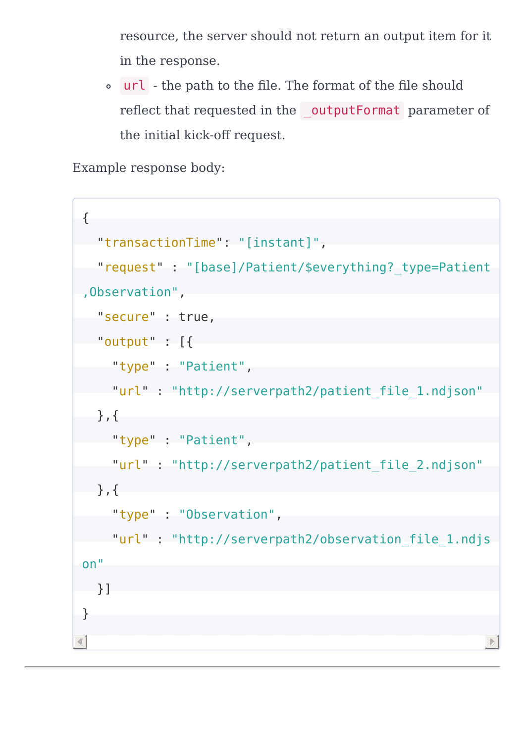resource, the server should not return an output item for it in the response.

url - the path to the file. The format of the file should reflect that requested in the **outputFormat** parameter of the initial kick-off request.

Example response body:

```
{
  "transactionTime": "[instant]",
  "request" : "[base]/Patient/$everything?_type=Patient
,Observation",
  "secure" : true,
  "output" : [{
    "type" : "Patient",
    "url" : "http://serverpath2/patient file 1.ndjson"
  },{
    "type" : "Patient",
    "url" : "http://serverpath2/patient file 2.ndjson"
  },{
    "type" : "Observation",
    "url" : "http://serverpath2/observation file 1.ndjs
on"
  }]
}4 |
```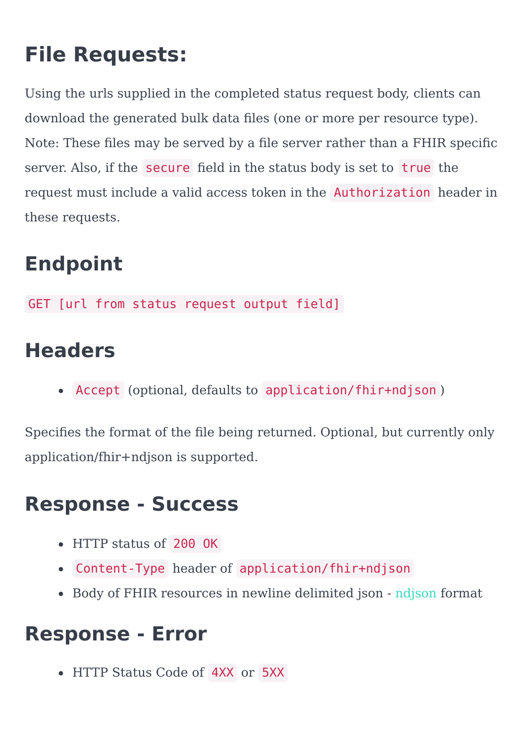## **File Requests:**

Using the urls supplied in the completed status request body, clients can download the generated bulk data files (one or more per resource type). Note: These files may be served by a file server rather than a FHIR specific server. Also, if the secure field in the status body is set to true the request must include a valid access token in the Authorization header in these requests.

## **Endpoint**

GET [url from status request output field]

#### **Headers**

Accept (optional, defaults to application/fhir+ndjson )

Specifies the format of the file being returned. Optional, but currently only application/fhir+ndjson is supported.

#### **Response - Success**

- HTTP status of 200 OK
- Content-Type header of application/fhir+ndjson
- Body of FHIR resources in newline delimited json [ndjson](http://ndjson.org/) format

#### **Response - Error**

• HTTP Status Code of  $4XX$  or  $5XX$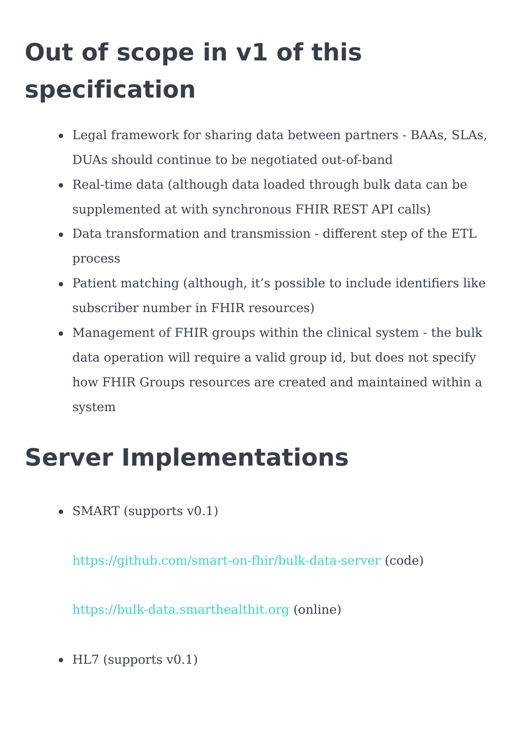# **Out of scope in v1 of this specification**

- Legal framework for sharing data between partners BAAs, SLAs, DUAs should continue to be negotiated out-of-band
- Real-time data (although data loaded through bulk data can be supplemented at with synchronous FHIR REST API calls)
- Data transformation and transmission different step of the ETL process
- Patient matching (although, it's possible to include identifiers like subscriber number in FHIR resources)
- Management of FHIR groups within the clinical system the bulk data operation will require a valid group id, but does not specify how FHIR Groups resources are created and maintained within a system

## **Server Implementations**

• SMART (supports v0.1)

<https://github.com/smart-on-fhir/bulk-data-server> (code)

[https://bulk-data.smarthealthit.org](https://bulk-data.smarthealthit.org/) (online)

 $\bullet$  HL7 (supports v0.1)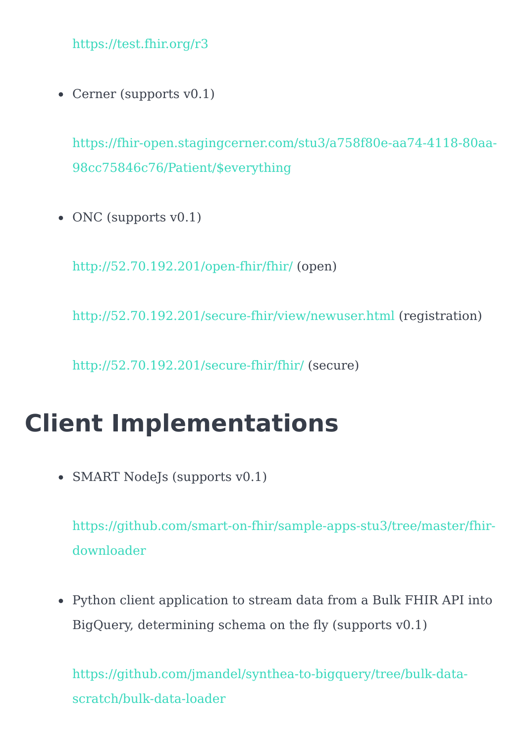<https://test.fhir.org/r3>

• Cerner (supports  $v(0.1)$ )

[https://fhir-open.stagingcerner.com/stu3/a758f80e-aa74-4118-80aa-](https://fhir-open.stagingcerner.com/stu3/a758f80e-aa74-4118-80aa-98cc75846c76/Patient/$everything)98cc75846c76/Patient/\$everything

• ONC (supports v0.1)

<http://52.70.192.201/open-fhir/fhir/> (open)

<http://52.70.192.201/secure-fhir/view/newuser.html> (registration)

<http://52.70.192.201/secure-fhir/fhir/> (secure)

# **Client Implementations**

• SMART Node<sup>J</sup>s (supports v0.1)

[https://github.com/smart-on-fhir/sample-apps-stu3/tree/master/fhir](https://github.com/smart-on-fhir/sample-apps-stu3/tree/master/fhir-downloader)downloader

Python client application to stream data from a Bulk FHIR API into BigQuery, determining schema on the fly (supports v0.1)

[https://github.com/jmandel/synthea-to-bigquery/tree/bulk-data](https://github.com/jmandel/synthea-to-bigquery/tree/bulk-data-scratch/bulk-data-loader)scratch/bulk-data-loader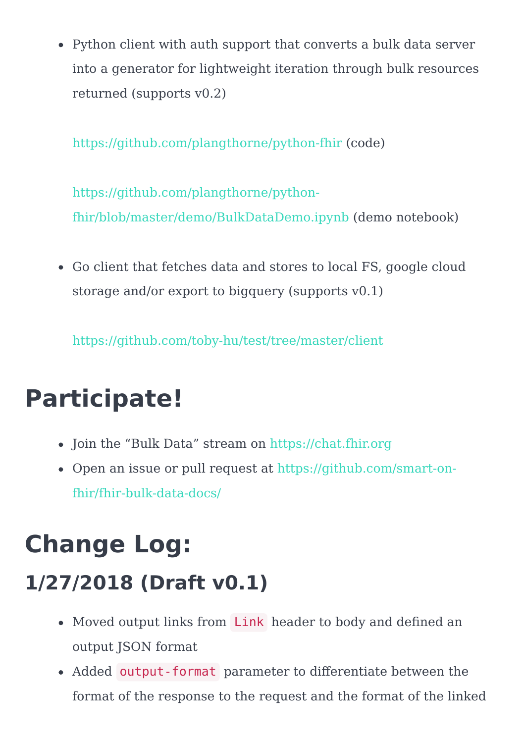Python client with auth support that converts a bulk data server into a generator for lightweight iteration through bulk resources returned (supports v0.2)

<https://github.com/plangthorne/python-fhir> (code)

https://github.com/plangthorne/python[fhir/blob/master/demo/BulkDataDemo.ipynb](https://github.com/plangthorne/python-fhir/blob/master/demo/BulkDataDemo.ipynb) (demo notebook)

Go client that fetches data and stores to local FS, google cloud storage and/or export to bigquery (supports v0.1)

<https://github.com/toby-hu/test/tree/master/client>

## **Participate!**

- Join the "Bulk Data" stream on [https://chat.fhir.org](https://chat.fhir.org/)
- Open an issue or pull request at [https://github.com/smart-on](https://github.com/smart-on-fhir/fhir-bulk-data-docs/)fhir/fhir-bulk-data-docs/

# **Change Log:**

## **1/27/2018 (Draft v0.1)**

- Moved output links from Link header to body and defined an output JSON format
- Added output-format parameter to differentiate between the format of the response to the request and the format of the linked